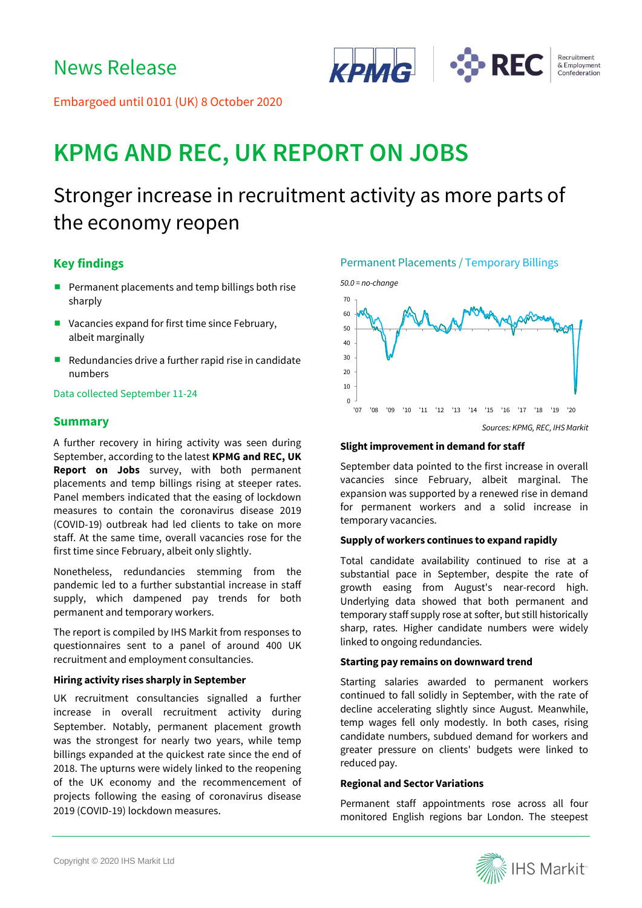

Embargoed until 0101 (UK) 8 October 2020

# **KPMG AND REC, UK REPORT ON JOBS**

## Stronger increase in recruitment activity as more parts of the economy reopen

#### **Key findings**

- Permanent placements and temp billings both rise sharply
- Vacancies expand for first time since February, albeit marginally
- Redundancies drive a further rapid rise in candidate numbers

#### Data collected September 11-24

#### **Summary**

A further recovery in hiring activity was seen during September, according to the latest **KPMG and REC, UK Report on Jobs** survey, with both permanent placements and temp billings rising at steeper rates. Panel members indicated that the easing of lockdown measures to contain the coronavirus disease 2019 (COVID-19) outbreak had led clients to take on more staff. At the same time, overall vacancies rose for the first time since February, albeit only slightly.

Nonetheless, redundancies stemming from the pandemic led to a further substantial increase in staff supply, which dampened pay trends for both permanent and temporary workers.

The report is compiled by IHS Markit from responses to questionnaires sent to a panel of around 400 UK recruitment and employment consultancies.

#### **Hiring activity rises sharply in September**

UK recruitment consultancies signalled a further increase in overall recruitment activity during September. Notably, permanent placement growth was the strongest for nearly two years, while temp billings expanded at the quickest rate since the end of 2018. The upturns were widely linked to the reopening of the UK economy and the recommencement of projects following the easing of coronavirus disease 2019 (COVID-19) lockdown measures.

#### Permanent Placements / Temporary Billings



#### **Slight improvement in demand for staff**

September data pointed to the first increase in overall vacancies since February, albeit marginal. The expansion was supported by a renewed rise in demand for permanent workers and a solid increase in temporary vacancies.

#### **Supply of workers continues to expand rapidly**

Total candidate availability continued to rise at a substantial pace in September, despite the rate of growth easing from August's near-record high. Underlying data showed that both permanent and temporary staff supply rose at softer, but still historically sharp, rates. Higher candidate numbers were widely linked to ongoing redundancies.

#### **Starting pay remains on downward trend**

Starting salaries awarded to permanent workers continued to fall solidly in September, with the rate of decline accelerating slightly since August. Meanwhile, temp wages fell only modestly. In both cases, rising candidate numbers, subdued demand for workers and greater pressure on clients' budgets were linked to reduced pay.

#### **Regional and Sector Variations**

Permanent staff appointments rose across all four monitored English regions bar London. The steepest

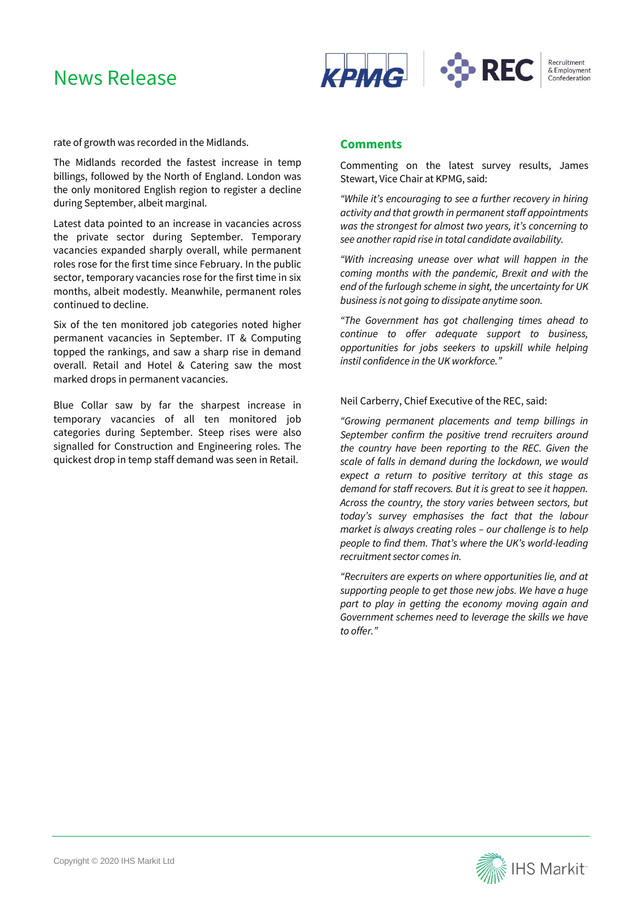### News Release



rate of growth was recorded in the Midlands.

The Midlands recorded the fastest increase in temp billings, followed by the North of England. London was the only monitored English region to register a decline during September, albeit marginal.

Latest data pointed to an increase in vacancies across the private sector during September. Temporary vacancies expanded sharply overall, while permanent roles rose for the first time since February. In the public sector, temporary vacancies rose for the first time in six months, albeit modestly. Meanwhile, permanent roles continued to decline.

Six of the ten monitored job categories noted higher permanent vacancies in September. IT & Computing topped the rankings, and saw a sharp rise in demand overall. Retail and Hotel & Catering saw the most marked drops in permanent vacancies.

Blue Collar saw by far the sharpest increase in temporary vacancies of all ten monitored job categories during September. Steep rises were also signalled for Construction and Engineering roles. The quickest drop in temp staff demand was seen in Retail.

#### **Comments**

Commenting on the latest survey results, James Stewart, Vice Chair at KPMG, said:

*"While it's encouraging to see a further recovery in hiring activity and that growth in permanent staff appointments was the strongest for almost two years, it's concerning to see another rapid rise in total candidate availability.*

*"With increasing unease over what will happen in the coming months with the pandemic, Brexit and with the end of the furlough scheme in sight, the uncertainty for UK business is not going to dissipate anytime soon.*

*"The Government has got challenging times ahead to continue to offer adequate support to business, opportunities for jobs seekers to upskill while helping instil confidence in the UK workforce."*

#### Neil Carberry, Chief Executive of the REC, said:

*"Growing permanent placements and temp billings in September confirm the positive trend recruiters around the country have been reporting to the REC. Given the scale of falls in demand during the lockdown, we would expect a return to positive territory at this stage as demand for staff recovers. But it is great to see it happen. Across the country, the story varies between sectors, but today's survey emphasises the fact that the labour market is always creating roles – our challenge is to help people to find them. That's where the UK's world-leading recruitment sector comes in.*

*"Recruiters are experts on where opportunities lie, and at supporting people to get those new jobs. We have a huge part to play in getting the economy moving again and Government schemes need to leverage the skills we have to offer."*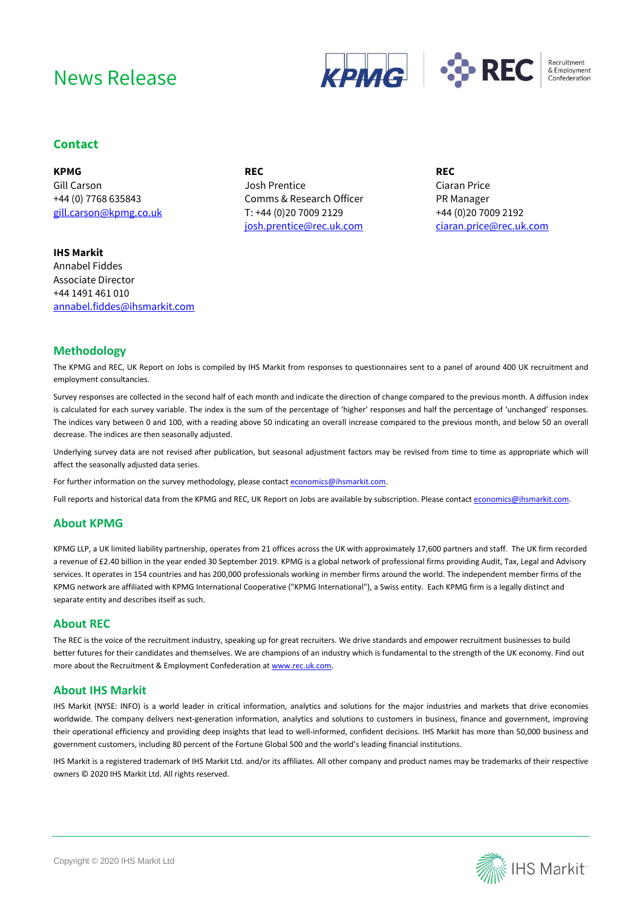## News Release





#### **Contact**

**KPMG** Gill Carson +44 (0) 7768 635843 [gill.carson@kpmg.co.uk](mailto:gill.carson@kpmg.co.uk)

**REC** Josh Prentice Comms & Research Officer T: +44 (0)20 7009 2129 [josh.prentice@rec.uk.com](mailto:josh.prentice@rec.uk.com) **REC** Ciaran Price PR Manager +44 (0)20 7009 2192 [ciaran.price@rec.uk.com](mailto:ciaran.price@rec.uk.com)

**IHS Markit**  Annabel Fiddes Associate Director +44 1491 461 010 [annabel.fiddes@ihsmarkit.com](mailto:annabel.fiddes@ihsmarkit.com)

#### **Methodology**

The KPMG and REC, UK Report on Jobs is compiled by IHS Markit from responses to questionnaires sent to a panel of around 400 UK recruitment and employment consultancies.

Survey responses are collected in the second half of each month and indicate the direction of change compared to the previous month. A diffusion index is calculated for each survey variable. The index is the sum of the percentage of 'higher' responses and half the percentage of 'unchanged' responses. The indices vary between 0 and 100, with a reading above 50 indicating an overall increase compared to the previous month, and below 50 an overall decrease. The indices are then seasonally adjusted.

Underlying survey data are not revised after publication, but seasonal adjustment factors may be revised from time to time as appropriate which will affect the seasonally adjusted data series.

For further information on the survey methodology, please contac[t economics@ihsmarkit.com.](mailto:economics@ihsmarkit.com)

Full reports and historical data from the KPMG and REC, UK Report on Jobs are available by subscription. Please contact economics@ihsmarkit.com.

#### **About KPMG**

KPMG LLP, a UK limited liability partnership, operates from 21 offices across the UK with approximately 17,600 partners and staff. The UK firm recorded a revenue of £2.40 billion in the year ended 30 September 2019. KPMG is a global network of professional firms providing Audit, Tax, Legal and Advisory services. It operates in 154 countries and has 200,000 professionals working in member firms around the world. The independent member firms of the KPMG network are affiliated with KPMG International Cooperative ("KPMG International"), a Swiss entity. Each KPMG firm is a legally distinct and separate entity and describes itself as such.

#### **About REC**

The REC is the voice of the recruitment industry, speaking up for great recruiters. We drive standards and empower recruitment businesses to build better futures for their candidates and themselves. We are champions of an industry which is fundamental to the strength of the UK economy. Find out more about the Recruitment & Employment Confederation a[t www.rec.uk.com.](http://www.rec.uk.com/)

#### **About IHS Markit**

IHS Markit (NYSE: INFO) is a world leader in critical information, analytics and solutions for the major industries and markets that drive economies worldwide. The company delivers next-generation information, analytics and solutions to customers in business, finance and government, improving their operational efficiency and providing deep insights that lead to well-informed, confident decisions. IHS Markit has more than 50,000 business and government customers, including 80 percent of the Fortune Global 500 and the world's leading financial institutions.

IHS Markit is a registered trademark of IHS Markit Ltd. and/or its affiliates. All other company and product names may be trademarks of their respective owners © 2020 IHS Markit Ltd. All rights reserved.